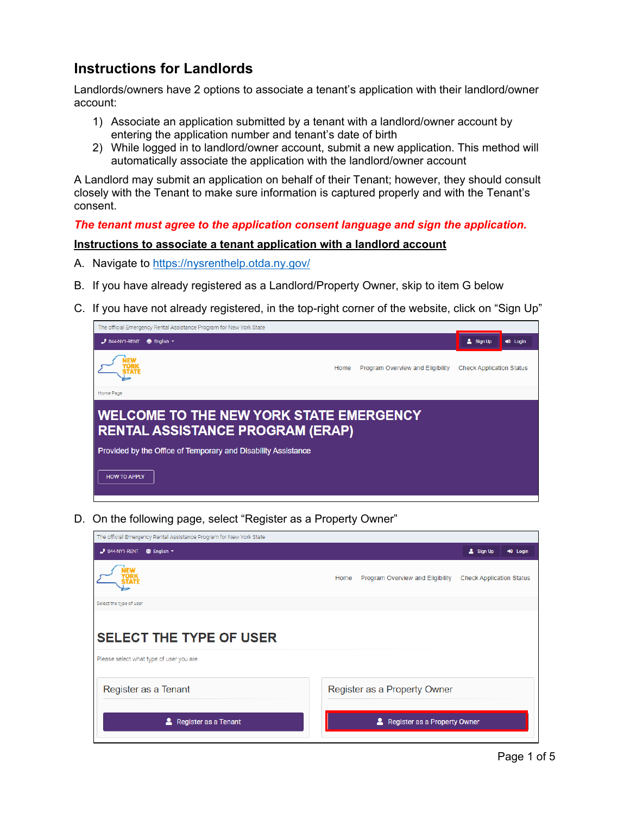## **Instructions for Landlords**

Landlords/owners have 2 options to associate a tenant's application with their landlord/owner account:

- 1) Associate an application submitted by a tenant with a landlord/owner account by entering the application number and tenant's date of birth
- 2) While logged in to landlord/owner account, submit a new application. This method will automatically associate the application with the landlord/owner account

A Landlord may submit an application on behalf of their Tenant; however, they should consult closely with the Tenant to make sure information is captured properly and with the Tenant's consent.

*The tenant must agree to the application consent language and sign the application.* 

## **Instructions to associate a tenant application with a landlord account**

- A. Navigate to<https://nysrenthelp.otda.ny.gov/>
- B. If you have already registered as a Landlord/Property Owner, skip to item G below
- C. If you have not already registered, in the top-right corner of the website, click on "Sign Up"



D. On the following page, select "Register as a Property Owner"

| The official Emergency Rental Assistance Program for New York State |                                                                             |
|---------------------------------------------------------------------|-----------------------------------------------------------------------------|
| $J$ 844-NY1-RENT<br><b><sup>●</sup></b> English ▼                   | & Sign Up<br>+0 Login                                                       |
|                                                                     | Program Overview and Eligibility<br><b>Check Application Status</b><br>Home |
| Select the type of user                                             |                                                                             |
| <b>SELECT THE TYPE OF USER</b>                                      |                                                                             |
| Please select what type of user you are.                            |                                                                             |
| Register as a Tenant                                                | Register as a Property Owner                                                |
| Register as a Tenant                                                | Register as a Property Owner                                                |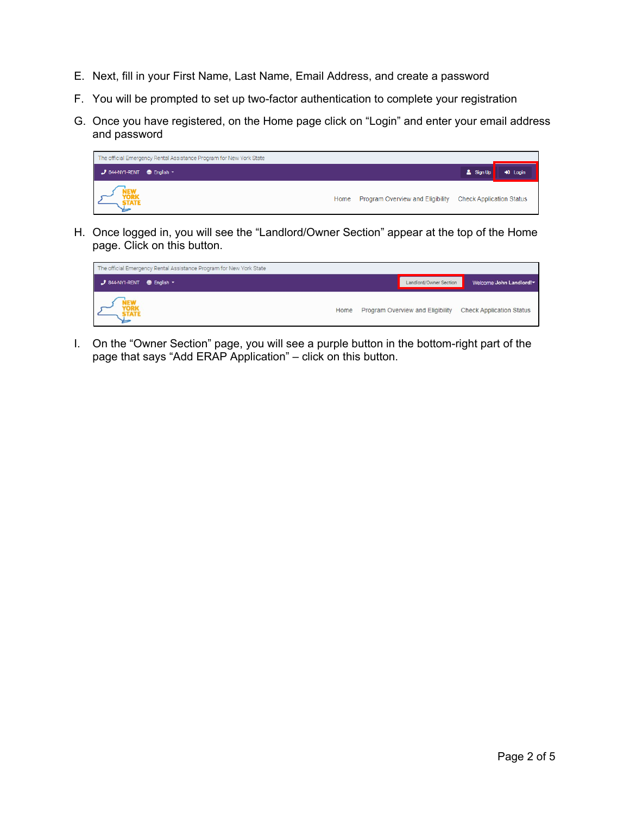- E. Next, fill in your First Name, Last Name, Email Address, and create a password
- F. You will be prompted to set up two-factor authentication to complete your registration
- G. Once you have registered, on the Home page click on "Login" and enter your email address and password



H. Once logged in, you will see the "Landlord/Owner Section" appear at the top of the Home page. Click on this button.



I. On the "Owner Section" page, you will see a purple button in the bottom-right part of the page that says "Add ERAP Application" – click on this button.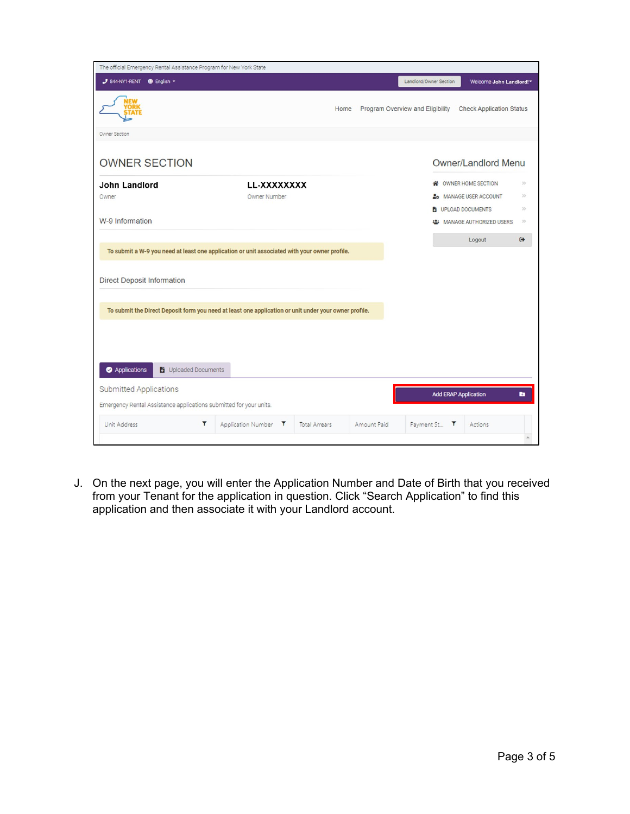| The official Emergency Rental Assistance Program for New York State                                   |                                    |                      |             |                                  |                                   |                   |
|-------------------------------------------------------------------------------------------------------|------------------------------------|----------------------|-------------|----------------------------------|-----------------------------------|-------------------|
| 3 844-NY1-RENT @ English -                                                                            |                                    |                      |             | Landlord/Owner Section           | Welcome John Landlord!"           |                   |
|                                                                                                       |                                    | Home                 |             | Program Overview and Eligibility | <b>Check Application Status</b>   |                   |
| Owner Section                                                                                         |                                    |                      |             |                                  |                                   |                   |
| <b>OWNER SECTION</b>                                                                                  |                                    |                      |             |                                  | Owner/Landlord Menu               |                   |
| John Landlord                                                                                         | LL-XXXXXXXX                        |                      |             | ≪                                | OWNER HOME SECTION                | $\mathcal{Y}$     |
| Owner                                                                                                 | Owner Number                       |                      |             |                                  | <b>26 MANAGE USER ACCOUNT</b>     | >                 |
|                                                                                                       |                                    |                      |             |                                  | UPLOAD DOCUMENTS                  | $>$               |
| W-9 Information                                                                                       |                                    |                      |             |                                  | <b>2: MANAGE AUTHORIZED USERS</b> | $>$               |
|                                                                                                       |                                    |                      |             |                                  | Logout                            | $\leftrightarrow$ |
| To submit a W-9 you need at least one application or unit associated with your owner profile.         |                                    |                      |             |                                  |                                   |                   |
| <b>Direct Deposit Information</b>                                                                     |                                    |                      |             |                                  |                                   |                   |
| To submit the Direct Deposit form you need at least one application or unit under your owner profile. |                                    |                      |             |                                  |                                   |                   |
|                                                                                                       |                                    |                      |             |                                  |                                   |                   |
|                                                                                                       |                                    |                      |             |                                  |                                   |                   |
| Applications<br>Uploaded Documents                                                                    |                                    |                      |             |                                  |                                   |                   |
| <b>Submitted Applications</b>                                                                         |                                    |                      |             |                                  | <b>Add ERAP Application</b>       | <b>B</b>          |
| Emergency Rental Assistance applications submitted for your units.                                    |                                    |                      |             |                                  |                                   |                   |
| T<br>Unit Address                                                                                     | $\mathbf{r}$<br>Application Number | <b>Total Arrears</b> | Amount Paid | Payment St<br>т                  | Actions                           |                   |
|                                                                                                       |                                    |                      |             |                                  |                                   |                   |

J. On the next page, you will enter the Application Number and Date of Birth that you received from your Tenant for the application in question. Click "Search Application" to find this application and then associate it with your Landlord account.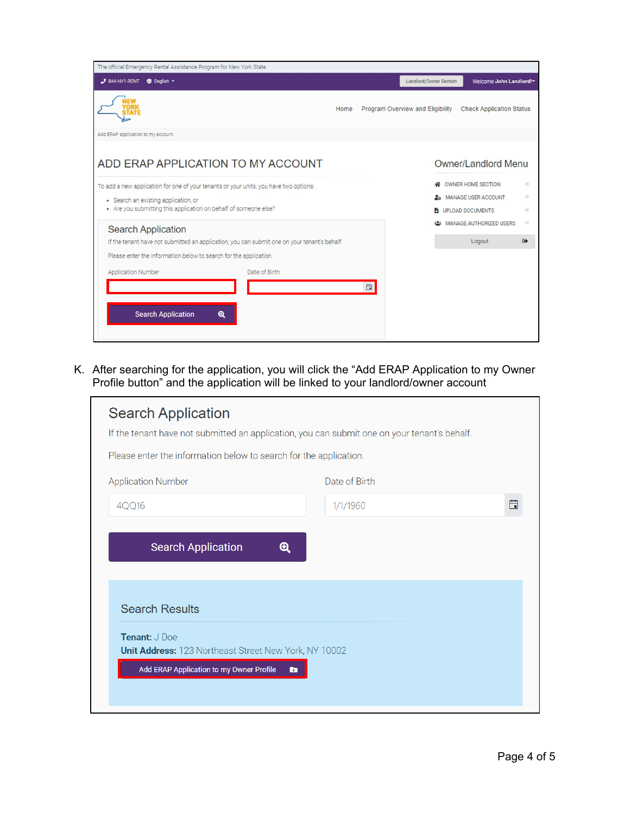| The official Emergency Rental Assistance Program for New York State                          |               |   |                                  |                                    |                   |
|----------------------------------------------------------------------------------------------|---------------|---|----------------------------------|------------------------------------|-------------------|
| 3 844-NY1-RENT <b>@</b> English ~                                                            |               |   | Landlord/Owner Section           | Welcome John Landlord!"            |                   |
|                                                                                              | Home          |   | Program Overview and Eligibility | <b>Check Application Status</b>    |                   |
| Add ERAP application to my account                                                           |               |   |                                  |                                    |                   |
| ADD ERAP APPLICATION TO MY ACCOUNT                                                           |               |   |                                  | <b>Owner/Landlord Menu</b>         |                   |
| To add a new application for one of your tenants or your units, you have two options:        |               |   |                                  | OWNER HOME SECTION                 | $>$               |
| • Search an existing application, or                                                         |               |   |                                  | 26 MANAGE USER ACCOUNT             | $>$               |
| • Are you submitting this application on behalf of someone else?                             |               |   |                                  | UPLOAD DOCUMENTS                   | 55                |
| <b>Search Application</b>                                                                    |               |   |                                  | <b>22:</b> MANAGE AUTHORIZED USERS | >                 |
| If the tenant have not submitted an application, you can submit one on your tenant's behalf. |               |   |                                  | Logout                             | $\leftrightarrow$ |
| Please enter the information below to search for the application.                            |               |   |                                  |                                    |                   |
| <b>Application Number</b>                                                                    | Date of Birth |   |                                  |                                    |                   |
|                                                                                              |               | 日 |                                  |                                    |                   |
|                                                                                              |               |   |                                  |                                    |                   |
| <b>Search Application</b><br>$\mathbf{\Omega}$                                               |               |   |                                  |                                    |                   |
|                                                                                              |               |   |                                  |                                    |                   |
|                                                                                              |               |   |                                  |                                    |                   |

K. After searching for the application, you will click the "Add ERAP Application to my Owner Profile button" and the application will be linked to your landlord/owner account

| Please enter the information below to search for the application.<br><b>Application Number</b> | Date of Birth         |   |
|------------------------------------------------------------------------------------------------|-----------------------|---|
| 4QQ16                                                                                          | 1/1/1960              | 曲 |
| <b>Search Application</b>                                                                      | $\boldsymbol{\Theta}$ |   |
|                                                                                                |                       |   |
|                                                                                                |                       |   |
|                                                                                                |                       |   |
| <b>Search Results</b>                                                                          |                       |   |
|                                                                                                |                       |   |
| Tenant: J Doe                                                                                  |                       |   |